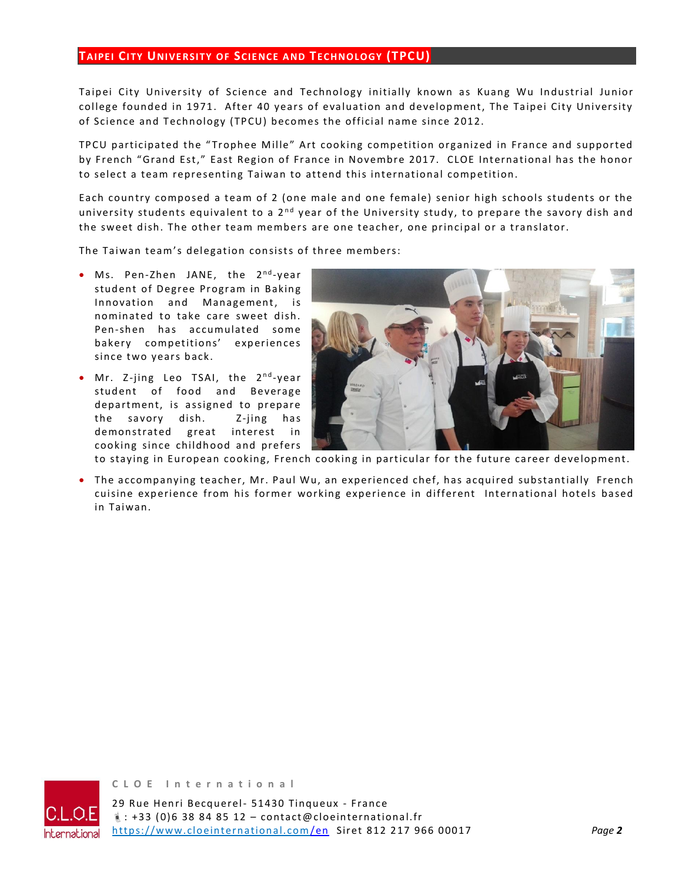## **TAIPEI CITY UNIVE RSITY OF SCIE NCE A ND TEC HNOLOGY (TPCU)**

Taipei City University of Science and Technology initially known as Kuang Wu Industrial Junior college founded in 1971. After 40 years of evaluation and development, The Taipei City University of Science and Technology (TPCU) becomes the official name since 2012.

TPCU participated the "Trophee Mille" Art cooking competition organized in France and supported by French "Grand Est," East Region of France in Novembre 2017. CLOE International has the honor to select a team representing Taiwan to attend this international competition.

Each country composed a team of 2 (one male and one female) senior high schools students or the university students equivalent to a  $2<sup>nd</sup>$  year of the University study, to prepare the savory dish and the sweet dish. The other team members are one teacher, one principal or a translator.

The Taiwan team's delegation consists of three members:

- Ms. Pen-Zhen JANE, the 2<sup>nd</sup>-year student of Degree Program in Baking Innovation and Management, is nominated to take care sweet dish. Pen-shen has accumulated some bakery competitions' experiences since two years back.
- Mr. Z-jing Leo TSAI, the 2<sup>nd</sup>-year student of food and Beverage department, is assigned to prepare the savory dish. Z-jing has demon strated great interest in cooking since childhood and prefers



to staying in European cooking, French cooking in particular for the future career development.

• The accompanying teacher, Mr. Paul Wu, an experienced chef, has acquired substantially French cuisine experience from his former working experience in different International hotels based in Taiwan.



**C L O E I n t e r n a t i o n a l**